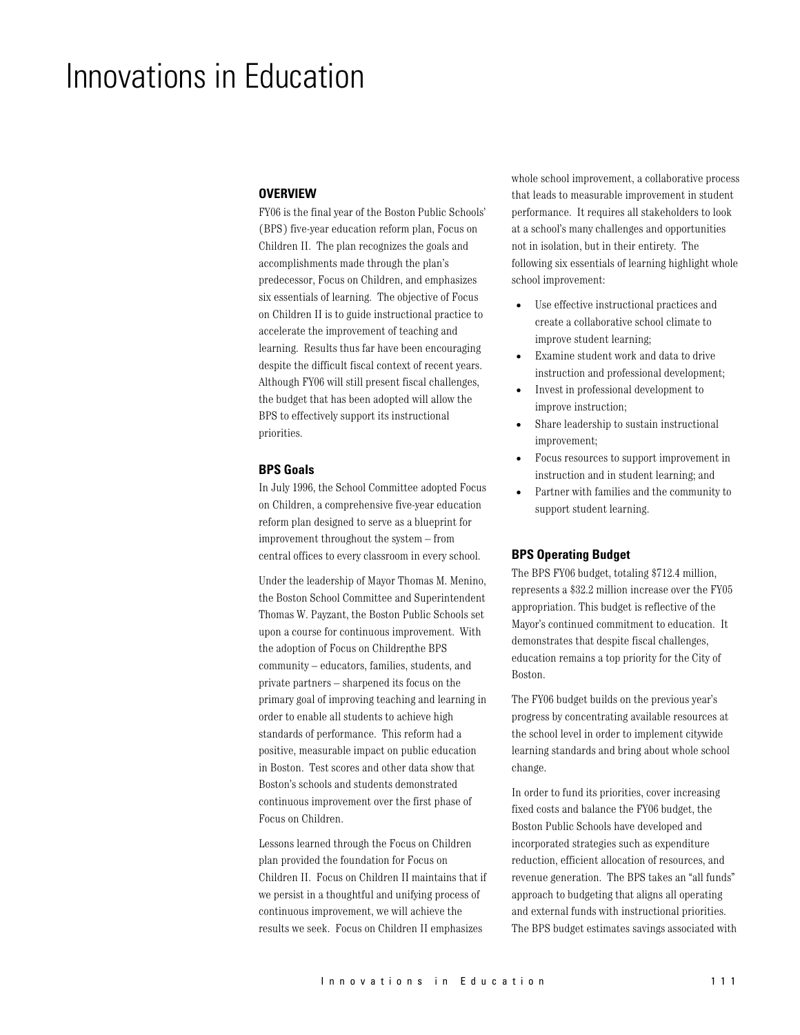# Innovations in Education

## **OVERVIEW**

FY06 is the final year of the Boston Public Schools' (BPS) five-year education reform plan, Focus on Children II. The plan recognizes the goals and accomplishments made through the plan's predecessor, Focus on Children, and emphasizes six essentials of learning. The objective of Focus on Children II is to guide instructional practice to accelerate the improvement of teaching and learning. Results thus far have been encouraging despite the difficult fiscal context of recent years. Although FY06 will still present fiscal challenges, the budget that has been adopted will allow the BPS to effectively support its instructional priorities.

## **BPS Goals**

In July 1996, the School Committee adopted Focus on Children, a comprehensive five-year education reform plan designed to serve as a blueprint for improvement throughout the system – from central offices to every classroom in every school.

Under the leadership of Mayor Thomas M. Menino, the Boston School Committee and Superintendent Thomas W. Payzant, the Boston Public Schools set upon a course for continuous improvement. With the adoption of Focus on Childrenthe BPS community – educators, families, students, and private partners - sharpened its focus on the primary goal of improving teaching and learning in order to enable all students to achieve high standards of performance. This reform had a positive, measurable impact on public education in Boston. Test scores and other data show that Boston's schools and students demonstrated continuous improvement over the first phase of Focus on Children.

Lessons learned through the Focus on Children plan provided the foundation for Focus on Children II. Focus on Children II maintains that if we persist in a thoughtful and unifying process of continuous improvement, we will achieve the results we seek. Focus on Children II emphasizes

whole school improvement, a collaborative process that leads to measurable improvement in student performance. It requires all stakeholders to look at a school's many challenges and opportunities not in isolation, but in their entirety. The following six essentials of learning highlight whole school improvement:

- Use effective instructional practices and create a collaborative school climate to improve student learning;
- Examine student work and data to drive instruction and professional development;
- Invest in professional development to improve instruction;
- Share leadership to sustain instructional improvement;
- Focus resources to support improvement in  $\bullet$ instruction and in student learning; and
- Partner with families and the community to  $\bullet$ support student learning.

## **BPS Operating Budget**

The BPS FY06 budget, totaling \$712.4 million, represents a \$32.2 million increase over the FY05 appropriation. This budget is reflective of the Mayor's continued commitment to education. It demonstrates that despite fiscal challenges, education remains a top priority for the City of Boston.

The FY06 budget builds on the previous year's progress by concentrating available resources at the school level in order to implement citywide learning standards and bring about whole school change.

In order to fund its priorities, cover increasing fixed costs and balance the FY06 budget, the Boston Public Schools have developed and incorporated strategies such as expenditure reduction, efficient allocation of resources, and revenue generation. The BPS takes an "all funds" approach to budgeting that aligns all operating and external funds with instructional priorities. The BPS budget estimates savings associated with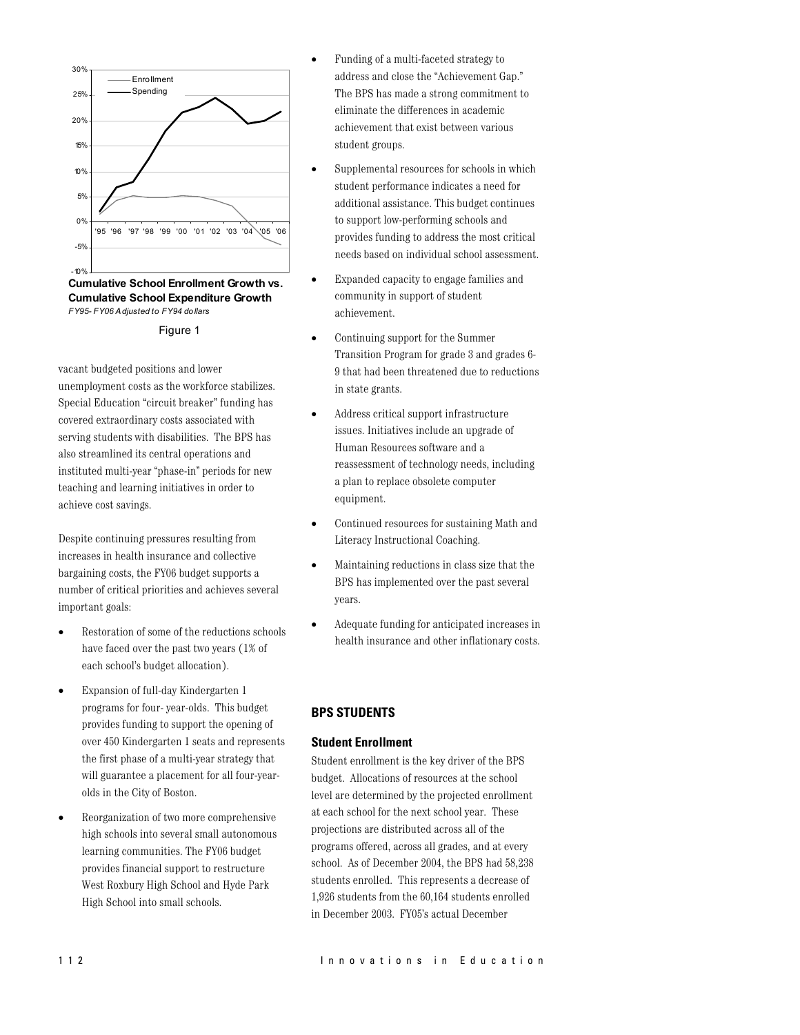

**Cumulative School Enrollment Growth vs. Cumulative School Expenditure Growth** FY95-FY06 Adjusted to FY94 dollars



vacant budgeted positions and lower unemployment costs as the workforce stabilizes. Special Education "circuit breaker" funding has covered extraordinary costs associated with serving students with disabilities. The BPS has also streamlined its central operations and instituted multi-year "phase-in" periods for new teaching and learning initiatives in order to achieve cost savings.

Despite continuing pressures resulting from increases in health insurance and collective bargaining costs, the FY06 budget supports a number of critical priorities and achieves several important goals:

- Restoration of some of the reductions schools  $\bullet$ have faced over the past two years (1% of each school's budget allocation).
- Expansion of full-day Kindergarten 1  $\bullet$ programs for four-year-olds. This budget provides funding to support the opening of over 450 Kindergarten 1 seats and represents the first phase of a multi-year strategy that will guarantee a placement for all four-yearolds in the City of Boston.
- Reorganization of two more comprehensive high schools into several small autonomous learning communities. The FY06 budget provides financial support to restructure West Roxbury High School and Hyde Park High School into small schools.
- Funding of a multi-faceted strategy to address and close the "Achievement Gap." The BPS has made a strong commitment to eliminate the differences in academic achievement that exist between various student groups.
- Supplemental resources for schools in which student performance indicates a need for additional assistance. This budget continues to support low-performing schools and provides funding to address the most critical needs based on individual school assessment.
- Expanded capacity to engage families and community in support of student achievement.
- Continuing support for the Summer  $\bullet$ Transition Program for grade 3 and grades 6-9 that had been threatened due to reductions in state grants.
- Address critical support infrastructure issues. Initiatives include an upgrade of Human Resources software and a reassessment of technology needs, including a plan to replace obsolete computer equipment.
- Continued resources for sustaining Math and Literacy Instructional Coaching.
- Maintaining reductions in class size that the BPS has implemented over the past several years.
- Adequate funding for anticipated increases in health insurance and other inflationary costs.

# **BPS STUDENTS**

## **Student Enrollment**

Student enrollment is the key driver of the BPS budget. Allocations of resources at the school level are determined by the projected enrollment at each school for the next school year. These projections are distributed across all of the programs offered, across all grades, and at every school. As of December 2004, the BPS had 58,238 students enrolled. This represents a decrease of 1,926 students from the 60,164 students enrolled in December 2003. FY05's actual December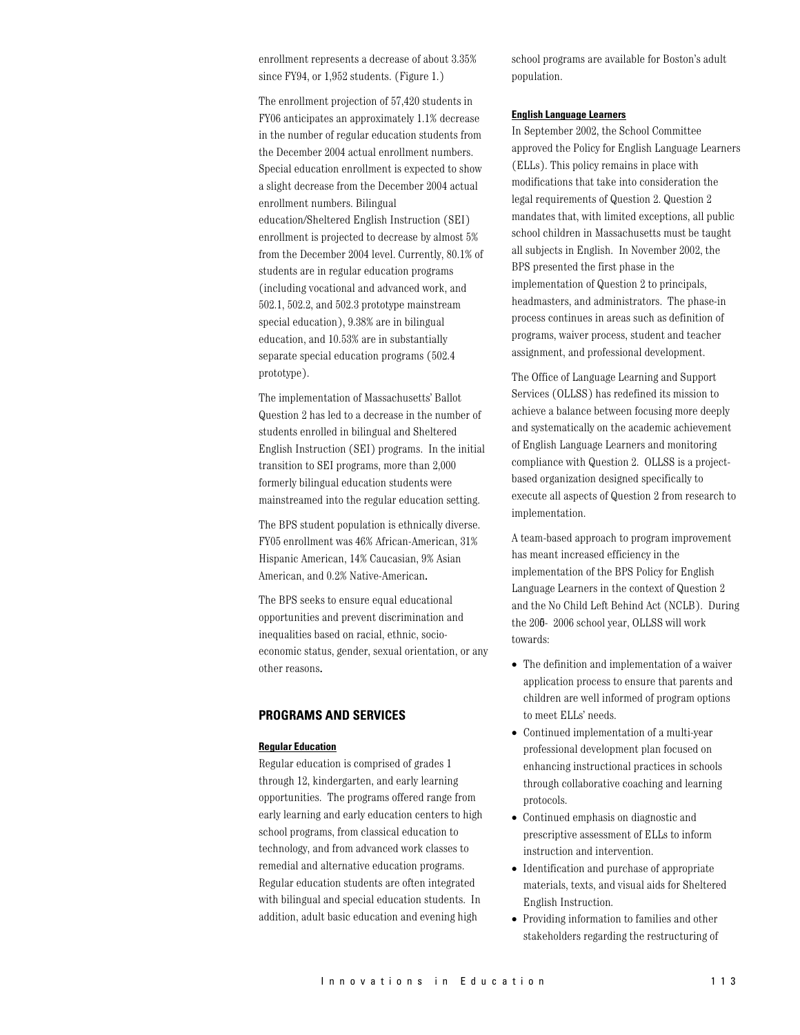enrollment represents a decrease of about 3.35% since FY94, or  $1,952$  students. (Figure 1.)

The enrollment projection of 57,420 students in FY06 anticipates an approximately 1.1% decrease in the number of regular education students from the December 2004 actual enrollment numbers. Special education enrollment is expected to show a slight decrease from the December 2004 actual enrollment numbers. Bilingual education/Sheltered English Instruction (SEI) enrollment is projected to decrease by almost 5% from the December 2004 level. Currently, 80.1% of students are in regular education programs (including vocational and advanced work, and  $502.1, 502.2,$  and  $502.3$  prototype mainstream special education), 9.38% are in bilingual education, and 10.53% are in substantially separate special education programs (502.4) prototype).

The implementation of Massachusetts' Ballot Question 2 has led to a decrease in the number of students enrolled in bilingual and Sheltered English Instruction (SEI) programs. In the initial transition to SEI programs, more than 2,000 formerly bilingual education students were mainstreamed into the regular education setting.

The BPS student population is ethnically diverse. FY05 enrollment was 46% African-American, 31% Hispanic American, 14% Caucasian, 9% Asian American, and 0.2% Native-American.

The BPS seeks to ensure equal educational opportunities and prevent discrimination and inequalities based on racial, ethnic, socioeconomic status, gender, sexual orientation, or any other reasons.

## **PROGRAMS AND SERVICES**

#### **Regular Education**

Regular education is comprised of grades 1 through 12, kindergarten, and early learning opportunities. The programs offered range from early learning and early education centers to high school programs, from classical education to technology, and from advanced work classes to remedial and alternative education programs. Regular education students are often integrated with bilingual and special education students. In addition, adult basic education and evening high

school programs are available for Boston's adult population.

#### **English Language Learners**

In September 2002, the School Committee approved the Policy for English Language Learners (ELLs). This policy remains in place with modifications that take into consideration the legal requirements of Question 2. Question 2 mandates that, with limited exceptions, all public school children in Massachusetts must be taught all subjects in English. In November 2002, the BPS presented the first phase in the implementation of Question 2 to principals, headmasters, and administrators. The phase-in process continues in areas such as definition of programs, waiver process, student and teacher assignment, and professional development.

The Office of Language Learning and Support Services (OLLSS) has redefined its mission to achieve a balance between focusing more deeply and systematically on the academic achievement of English Language Learners and monitoring compliance with Question 2. OLLSS is a projectbased organization designed specifically to execute all aspects of Question 2 from research to implementation.

A team-based approach to program improvement has meant increased efficiency in the implementation of the BPS Policy for English Language Learners in the context of Question 2 and the No Child Left Behind Act (NCLB). During the 200-2006 school year, OLLSS will work towards:

- The definition and implementation of a waiver application process to ensure that parents and children are well informed of program options to meet ELLs' needs.
- $\bullet$  Continued implementation of a multi-year professional development plan focused on enhancing instructional practices in schools through collaborative coaching and learning protocols.
- $\bullet$  Continued emphasis on diagnostic and prescriptive assessment of ELLs to inform instruction and intervention.
- Identification and purchase of appropriate materials, texts, and visual aids for Sheltered English Instruction.
- Providing information to families and other stakeholders regarding the restructuring of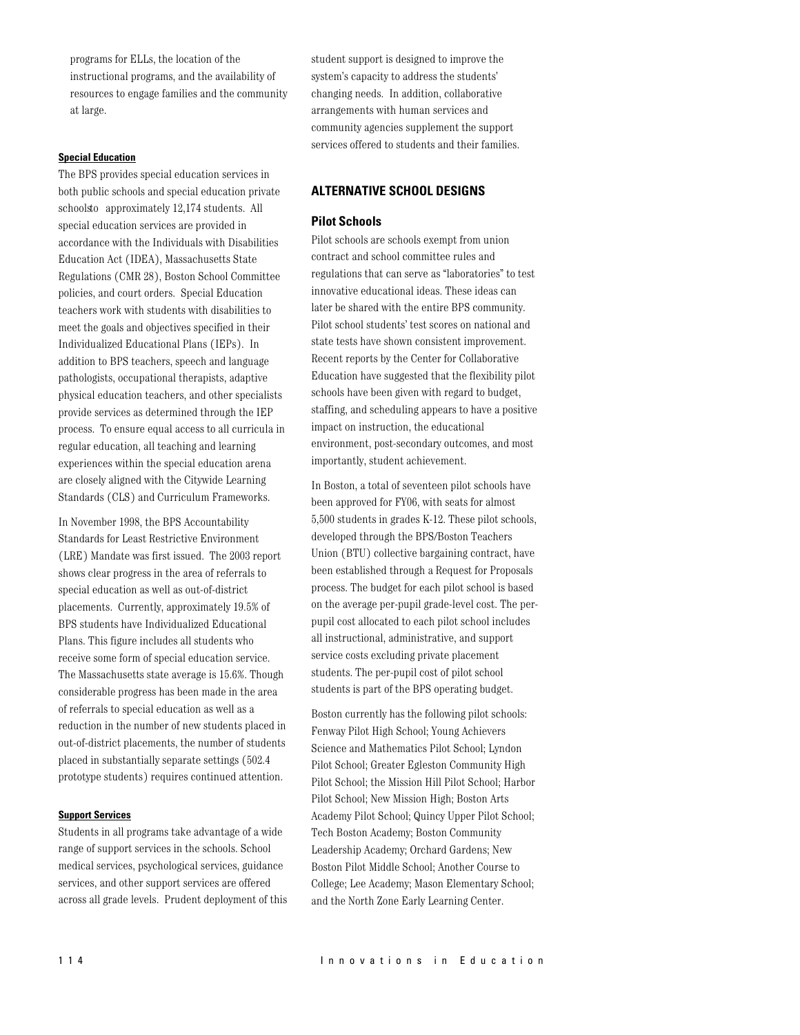programs for ELLs, the location of the instructional programs, and the availability of resources to engage families and the community at large.

#### **Special Education**

The BPS provides special education services in both public schools and special education private schoolsto approximately 12,174 students. All special education services are provided in accordance with the Individuals with Disabilities Education Act (IDEA), Massachusetts State Regulations (CMR 28), Boston School Committee policies, and court orders. Special Education teachers work with students with disabilities to meet the goals and objectives specified in their Individualized Educational Plans (IEPs). In addition to BPS teachers, speech and language pathologists, occupational therapists, adaptive physical education teachers, and other specialists provide services as determined through the IEP process. To ensure equal access to all curricula in regular education, all teaching and learning experiences within the special education arena are closely aligned with the Citywide Learning Standards (CLS) and Curriculum Frameworks.

In November 1998, the BPS Accountability Standards for Least Restrictive Environment (LRE) Mandate was first issued. The 2003 report shows clear progress in the area of referrals to special education as well as out-of-district placements. Currently, approximately 19.5% of BPS students have Individualized Educational Plans. This figure includes all students who receive some form of special education service. The Massachusetts state average is 15.6%. Though considerable progress has been made in the area of referrals to special education as well as a reduction in the number of new students placed in out-of-district placements, the number of students placed in substantially separate settings (502.4) prototype students) requires continued attention.

#### **Support Services**

Students in all programs take advantage of a wide range of support services in the schools. School medical services, psychological services, guidance services, and other support services are offered across all grade levels. Prudent deployment of this student support is designed to improve the system's capacity to address the students' changing needs. In addition, collaborative arrangements with human services and community agencies supplement the support services offered to students and their families.

## **ALTERNATIVE SCHOOL DESIGNS**

#### **Pilot Schools**

Pilot schools are schools exempt from union contract and school committee rules and regulations that can serve as "laboratories" to test innovative educational ideas. These ideas can later be shared with the entire BPS community. Pilot school students' test scores on national and state tests have shown consistent improvement. Recent reports by the Center for Collaborative Education have suggested that the flexibility pilot schools have been given with regard to budget, staffing, and scheduling appears to have a positive impact on instruction, the educational environment, post-secondary outcomes, and most importantly, student achievement.

In Boston, a total of seventeen pilot schools have been approved for FY06, with seats for almost 5,500 students in grades K-12. These pilot schools, developed through the BPS/Boston Teachers Union (BTU) collective bargaining contract, have been established through a Request for Proposals process. The budget for each pilot school is based on the average per-pupil grade-level cost. The perpupil cost allocated to each pilot school includes all instructional, administrative, and support service costs excluding private placement students. The per-pupil cost of pilot school students is part of the BPS operating budget.

Boston currently has the following pilot schools: Fenway Pilot High School; Young Achievers Science and Mathematics Pilot School; Lyndon Pilot School; Greater Egleston Community High Pilot School; the Mission Hill Pilot School; Harbor Pilot School; New Mission High; Boston Arts Academy Pilot School; Quincy Upper Pilot School; Tech Boston Academy; Boston Community Leadership Academy; Orchard Gardens; New Boston Pilot Middle School; Another Course to College; Lee Academy; Mason Elementary School; and the North Zone Early Learning Center.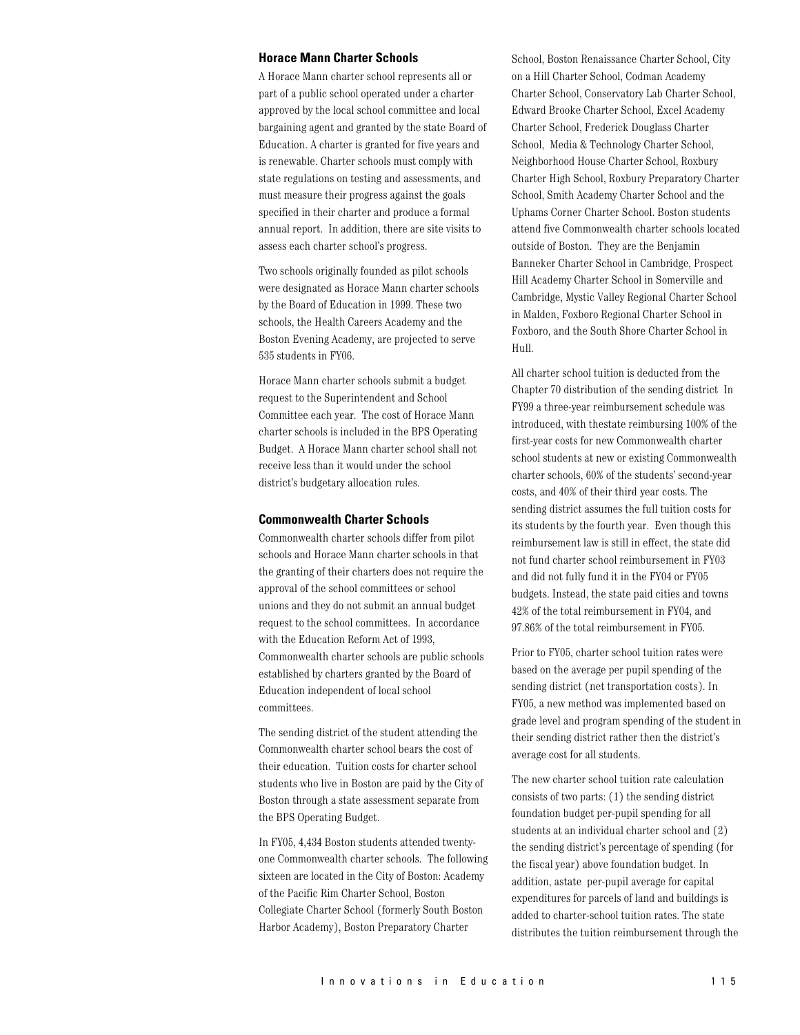#### **Horace Mann Charter Schools**

A Horace Mann charter school represents all or part of a public school operated under a charter approved by the local school committee and local bargaining agent and granted by the state Board of Education. A charter is granted for five years and is renewable. Charter schools must comply with state regulations on testing and assessments, and must measure their progress against the goals specified in their charter and produce a formal annual report. In addition, there are site visits to assess each charter school's progress.

Two schools originally founded as pilot schools were designated as Horace Mann charter schools by the Board of Education in 1999. These two schools, the Health Careers Academy and the Boston Evening Academy, are projected to serve 535 students in FY06.

Horace Mann charter schools submit a budget request to the Superintendent and School Committee each year. The cost of Horace Mann charter schools is included in the BPS Operating Budget. A Horace Mann charter school shall not receive less than it would under the school district's budgetary allocation rules.

#### **Commonwealth Charter Schools**

Commonwealth charter schools differ from pilot schools and Horace Mann charter schools in that the granting of their charters does not require the approval of the school committees or school unions and they do not submit an annual budget request to the school committees. In accordance with the Education Reform Act of 1993, Commonwealth charter schools are public schools established by charters granted by the Board of Education independent of local school committees.

The sending district of the student attending the Commonwealth charter school bears the cost of their education. Tuition costs for charter school students who live in Boston are paid by the City of Boston through a state assessment separate from the BPS Operating Budget.

In FY05, 4,434 Boston students attended twentyone Commonwealth charter schools. The following sixteen are located in the City of Boston: Academy of the Pacific Rim Charter School, Boston Collegiate Charter School (formerly South Boston Harbor Academy), Boston Preparatory Charter

School, Boston Renaissance Charter School, City on a Hill Charter School, Codman Academy Charter School, Conservatory Lab Charter School, Edward Brooke Charter School, Excel Academy Charter School, Frederick Douglass Charter School, Media & Technology Charter School, Neighborhood House Charter School, Roxbury Charter High School, Roxbury Preparatory Charter School, Smith Academy Charter School and the Uphams Corner Charter School. Boston students attend five Commonwealth charter schools located outside of Boston. They are the Benjamin Banneker Charter School in Cambridge, Prospect Hill Academy Charter School in Somerville and Cambridge, Mystic Valley Regional Charter School in Malden, Foxboro Regional Charter School in Foxboro, and the South Shore Charter School in Hull.

All charter school tuition is deducted from the Chapter 70 distribution of the sending district In FY99 a three-year reimbursement schedule was introduced, with the state reimbursing 100% of the first-year costs for new Commonwealth charter school students at new or existing Commonwealth charter schools, 60% of the students' second-year costs, and 40% of their third year costs. The sending district assumes the full tuition costs for its students by the fourth year. Even though this reimbursement law is still in effect, the state did not fund charter school reimbursement in FY03 and did not fully fund it in the FY04 or FY05 budgets. Instead, the state paid cities and towns 42% of the total reimbursement in FY04, and 97.86% of the total reimbursement in FY05.

Prior to FY05, charter school tuition rates were based on the average per pupil spending of the sending district (net transportation costs). In FY05, a new method was implemented based on grade level and program spending of the student in their sending district rather then the district's average cost for all students.

The new charter school tuition rate calculation consists of two parts:  $(1)$  the sending district foundation budget per-pupil spending for all students at an individual charter school and (2) the sending district's percentage of spending (for the fiscal year) above foundation budget. In addition, astate per-pupil average for capital expenditures for parcels of land and buildings is added to charter-school tuition rates. The state distributes the tuition reimbursement through the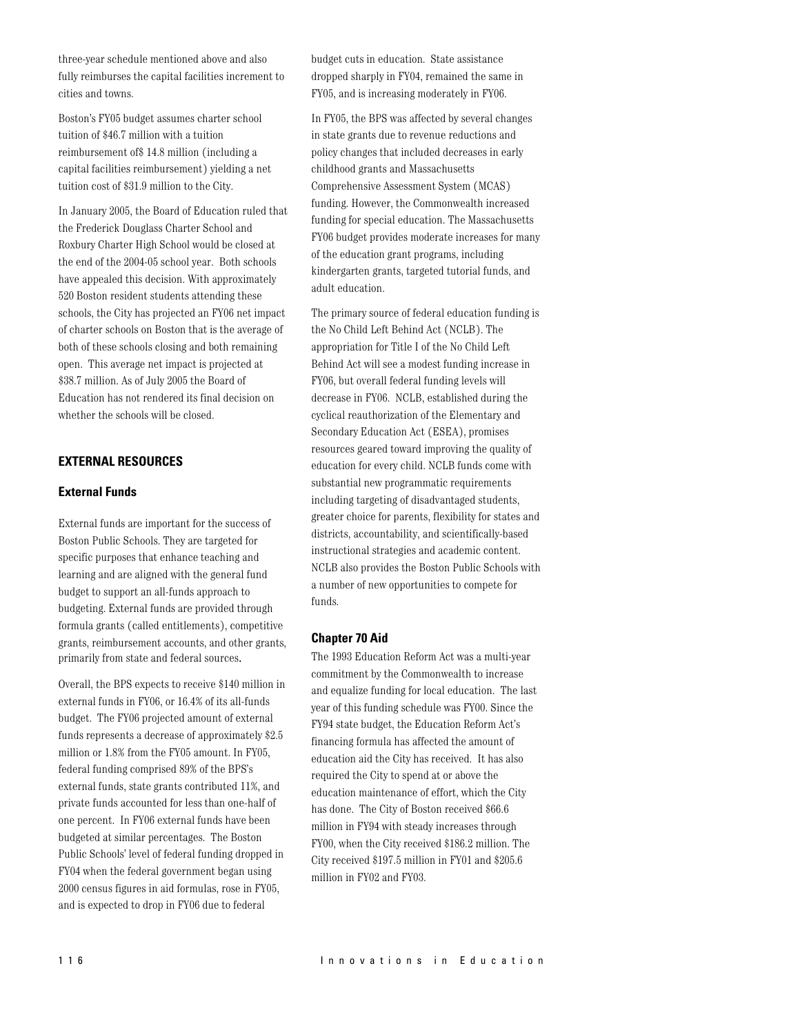three-year schedule mentioned above and also fully reimburses the capital facilities increment to cities and towns.

Boston's FY05 budget assumes charter school tuition of \$46.7 million with a tuition reimbursement of \$14.8 million (including a capital facilities reimbursement) yielding a net tuition cost of \$31.9 million to the City.

In January 2005, the Board of Education ruled that the Frederick Douglass Charter School and Roxbury Charter High School would be closed at the end of the 2004-05 school year. Both schools have appealed this decision. With approximately 520 Boston resident students attending these schools, the City has projected an FY06 net impact of charter schools on Boston that is the average of both of these schools closing and both remaining open. This average net impact is projected at \$38.7 million. As of July 2005 the Board of Education has not rendered its final decision on whether the schools will be closed.

# **EXTERNAL RESOURCES**

## **External Funds**

External funds are important for the success of Boston Public Schools. They are targeted for specific purposes that enhance teaching and learning and are aligned with the general fund budget to support an all-funds approach to budgeting. External funds are provided through formula grants (called entitlements), competitive grants, reimbursement accounts, and other grants, primarily from state and federal sources.

Overall, the BPS expects to receive \$140 million in external funds in FY06, or 16.4% of its all-funds budget. The FY06 projected amount of external funds represents a decrease of approximately \$2.5 million or 1.8% from the FY05 amount. In FY05, federal funding comprised 89% of the BPS's external funds, state grants contributed 11%, and private funds accounted for less than one-half of one percent. In FY06 external funds have been budgeted at similar percentages. The Boston Public Schools' level of federal funding dropped in FY04 when the federal government began using 2000 census figures in aid formulas, rose in FY05, and is expected to drop in FY06 due to federal

budget cuts in education. State assistance dropped sharply in FY04, remained the same in FY05, and is increasing moderately in FY06.

In FY05, the BPS was affected by several changes in state grants due to revenue reductions and policy changes that included decreases in early childhood grants and Massachusetts Comprehensive Assessment System (MCAS) funding. However, the Commonwealth increased funding for special education. The Massachusetts FY06 budget provides moderate increases for many of the education grant programs, including kindergarten grants, targeted tutorial funds, and adult education.

The primary source of federal education funding is the No Child Left Behind Act (NCLB). The appropriation for Title I of the No Child Left Behind Act will see a modest funding increase in FY06, but overall federal funding levels will decrease in FY06. NCLB, established during the cyclical reauthorization of the Elementary and Secondary Education Act (ESEA), promises resources geared toward improving the quality of education for every child. NCLB funds come with substantial new programmatic requirements including targeting of disadvantaged students, greater choice for parents, flexibility for states and districts, accountability, and scientifically-based instructional strategies and academic content. NCLB also provides the Boston Public Schools with a number of new opportunities to compete for funds.

## **Chapter 70 Aid**

The 1993 Education Reform Act was a multi-year commitment by the Commonwealth to increase and equalize funding for local education. The last year of this funding schedule was FY00. Since the FY94 state budget, the Education Reform Act's financing formula has affected the amount of education aid the City has received. It has also required the City to spend at or above the education maintenance of effort, which the City has done. The City of Boston received \$66.6 million in FY94 with steady increases through FY00, when the City received \$186.2 million. The City received \$197.5 million in FY01 and \$205.6 million in FY02 and FY03.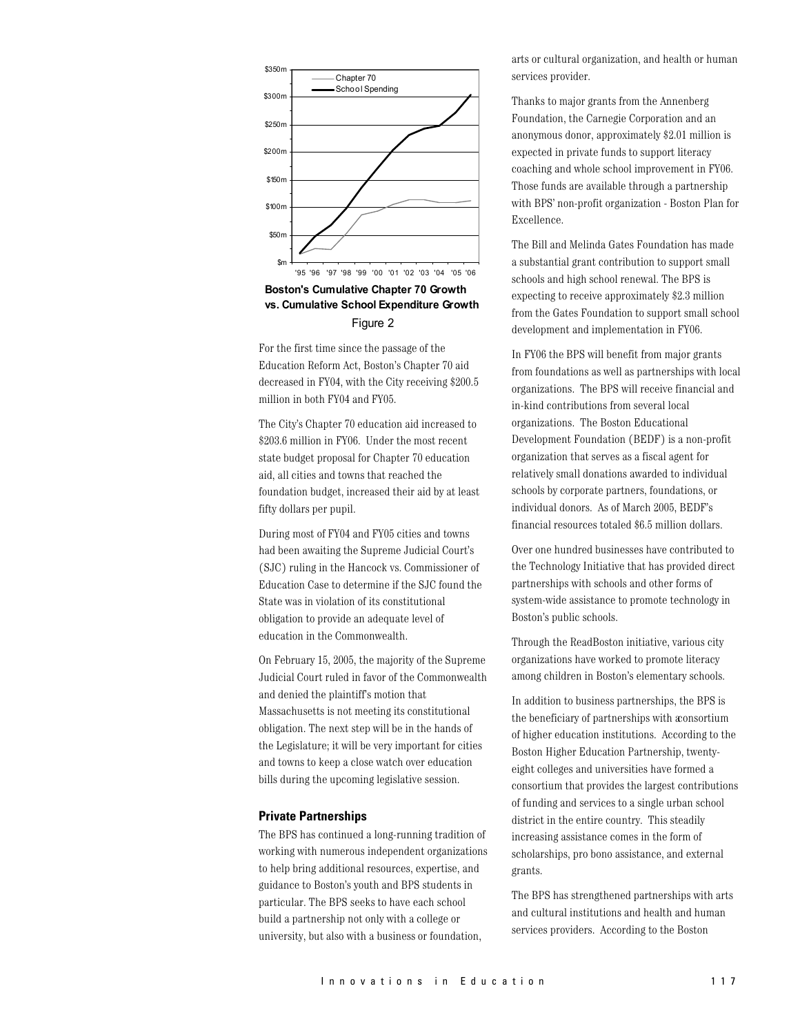

**Boston's Cumulative Chapter 70 Growth** vs. Cumulative School Expenditure Growth Figure 2

For the first time since the passage of the Education Reform Act, Boston's Chapter 70 aid decreased in FY04, with the City receiving \$200.5 million in both FY04 and FY05.

The City's Chapter 70 education aid increased to \$203.6 million in FY06. Under the most recent state budget proposal for Chapter 70 education aid, all cities and towns that reached the foundation budget, increased their aid by at least fifty dollars per pupil.

During most of FY04 and FY05 cities and towns had been awaiting the Supreme Judicial Court's (SJC) ruling in the Hancock vs. Commissioner of Education Case to determine if the SJC found the State was in violation of its constitutional obligation to provide an adequate level of education in the Commonwealth.

On February 15, 2005, the majority of the Supreme Judicial Court ruled in favor of the Commonwealth and denied the plaintiff's motion that Massachusetts is not meeting its constitutional obligation. The next step will be in the hands of the Legislature; it will be very important for cities and towns to keep a close watch over education bills during the upcoming legislative session.

## **Private Partnerships**

The BPS has continued a long-running tradition of working with numerous independent organizations to help bring additional resources, expertise, and guidance to Boston's youth and BPS students in particular. The BPS seeks to have each school build a partnership not only with a college or university, but also with a business or foundation,

arts or cultural organization, and health or human services provider.

Thanks to major grants from the Annenberg Foundation, the Carnegie Corporation and an anonymous donor, approximately \$2.01 million is expected in private funds to support literacy coaching and whole school improvement in FY06. Those funds are available through a partnership with BPS' non-profit organization - Boston Plan for Excellence.

The Bill and Melinda Gates Foundation has made a substantial grant contribution to support small schools and high school renewal. The BPS is expecting to receive approximately \$2.3 million from the Gates Foundation to support small school development and implementation in FY06.

In FY06 the BPS will benefit from major grants from foundations as well as partnerships with local organizations. The BPS will receive financial and in-kind contributions from several local organizations. The Boston Educational Development Foundation (BEDF) is a non-profit organization that serves as a fiscal agent for relatively small donations awarded to individual schools by corporate partners, foundations, or individual donors. As of March 2005, BEDF's financial resources totaled \$6.5 million dollars.

Over one hundred businesses have contributed to the Technology Initiative that has provided direct partnerships with schools and other forms of system-wide assistance to promote technology in Boston's public schools.

Through the ReadBoston initiative, various city organizations have worked to promote literacy among children in Boston's elementary schools.

In addition to business partnerships, the BPS is the beneficiary of partnerships with a consortium of higher education institutions. According to the Boston Higher Education Partnership, twentyeight colleges and universities have formed a consortium that provides the largest contributions of funding and services to a single urban school district in the entire country. This steadily increasing assistance comes in the form of scholarships, pro bono assistance, and external grants.

The BPS has strengthened partnerships with arts and cultural institutions and health and human services providers. According to the Boston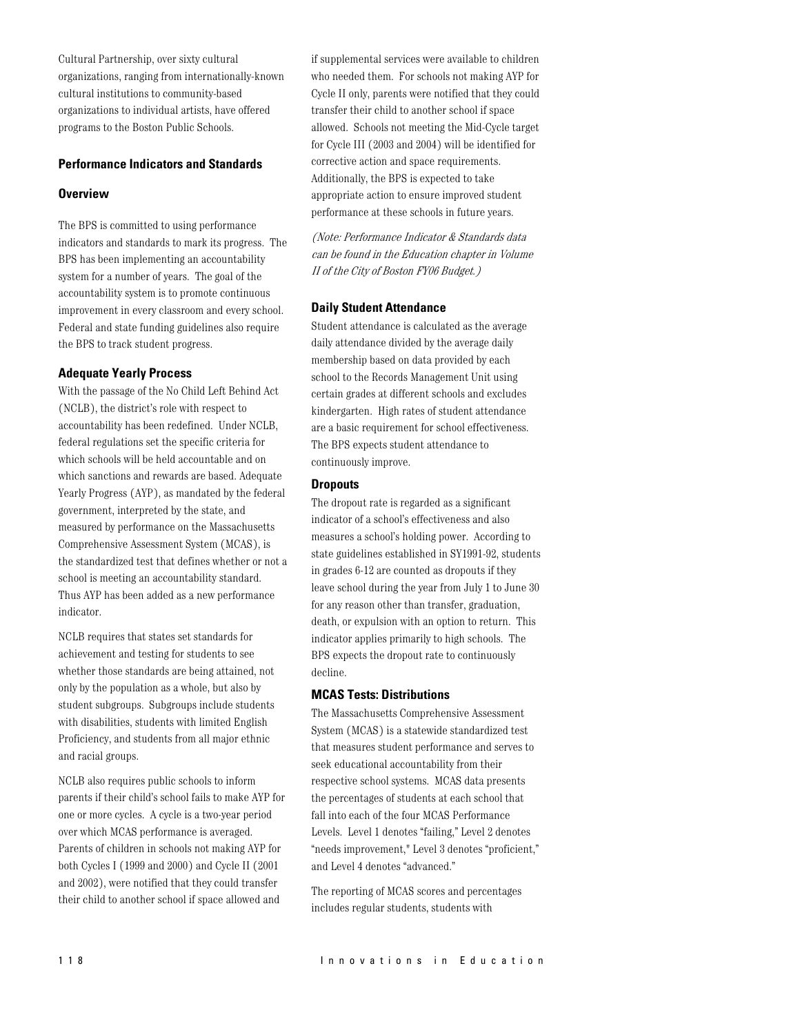Cultural Partnership, over sixty cultural organizations, ranging from internationally-known cultural institutions to community-based organizations to individual artists, have offered programs to the Boston Public Schools.

#### **Performance Indicators and Standards**

## **Overview**

The BPS is committed to using performance indicators and standards to mark its progress. The BPS has been implementing an accountability system for a number of years. The goal of the accountability system is to promote continuous improvement in every classroom and every school. Federal and state funding guidelines also require the BPS to track student progress.

## **Adequate Yearly Process**

With the passage of the No Child Left Behind Act (NCLB), the district's role with respect to accountability has been redefined. Under NCLB, federal regulations set the specific criteria for which schools will be held accountable and on which sanctions and rewards are based. Adequate Yearly Progress (AYP), as mandated by the federal government, interpreted by the state, and measured by performance on the Massachusetts Comprehensive Assessment System (MCAS), is the standardized test that defines whether or not a school is meeting an accountability standard. Thus AYP has been added as a new performance indicator.

NCLB requires that states set standards for achievement and testing for students to see whether those standards are being attained, not only by the population as a whole, but also by student subgroups. Subgroups include students with disabilities, students with limited English Proficiency, and students from all major ethnic and racial groups.

NCLB also requires public schools to inform parents if their child's school fails to make AYP for one or more cycles. A cycle is a two-year period over which MCAS performance is averaged. Parents of children in schools not making AYP for both Cycles I (1999 and 2000) and Cycle II (2001 and 2002), were notified that they could transfer their child to another school if space allowed and

if supplemental services were available to children who needed them. For schools not making AYP for Cycle II only, parents were notified that they could transfer their child to another school if space allowed. Schools not meeting the Mid-Cycle target for Cycle III (2003 and 2004) will be identified for corrective action and space requirements. Additionally, the BPS is expected to take appropriate action to ensure improved student performance at these schools in future years.

(Note: Performance Indicator & Standards data can be found in the Education chapter in Volume II of the City of Boston FY06 Budget.)

#### **Daily Student Attendance**

Student attendance is calculated as the average daily attendance divided by the average daily membership based on data provided by each school to the Records Management Unit using certain grades at different schools and excludes kindergarten. High rates of student attendance are a basic requirement for school effectiveness. The BPS expects student attendance to continuously improve.

#### **Dropouts**

The dropout rate is regarded as a significant indicator of a school's effectiveness and also measures a school's holding power. According to state guidelines established in SY1991-92, students in grades 6-12 are counted as dropouts if they leave school during the year from July 1 to June 30 for any reason other than transfer, graduation, death, or expulsion with an option to return. This indicator applies primarily to high schools. The BPS expects the dropout rate to continuously decline.

#### **MCAS Tests: Distributions**

The Massachusetts Comprehensive Assessment System (MCAS) is a statewide standardized test that measures student performance and serves to seek educational accountability from their respective school systems. MCAS data presents the percentages of students at each school that fall into each of the four MCAS Performance Levels. Level 1 denotes "failing," Level 2 denotes "needs improvement," Level 3 denotes "proficient," and Level 4 denotes "advanced."

The reporting of MCAS scores and percentages includes regular students, students with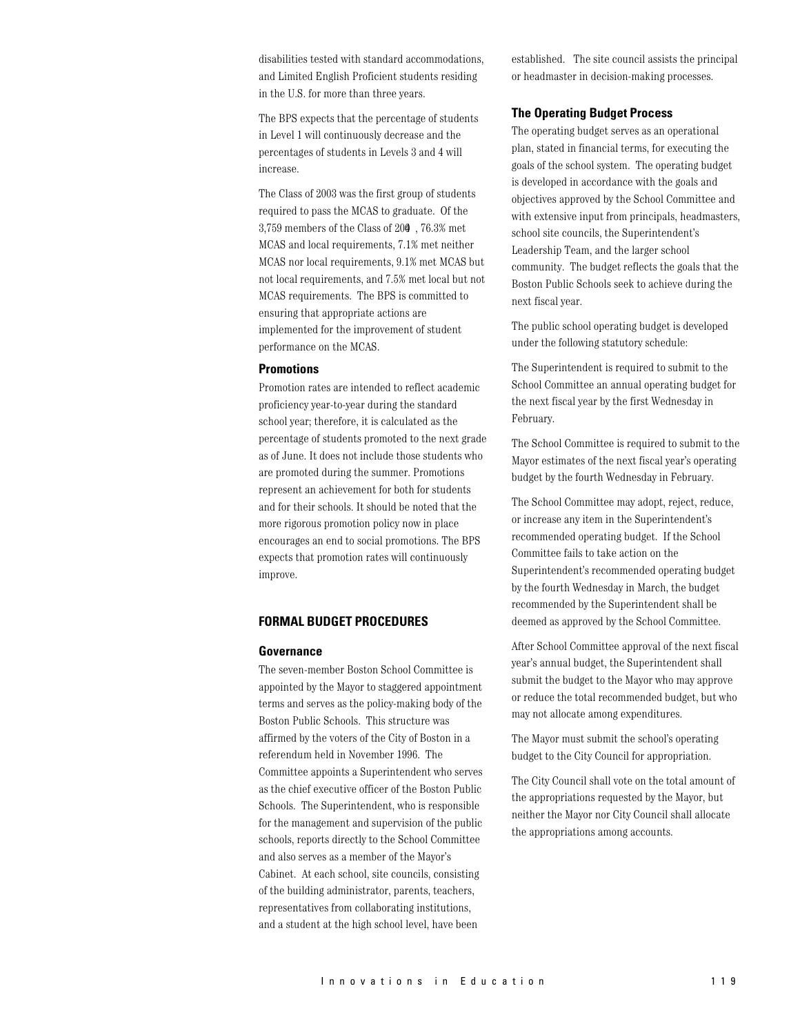disabilities tested with standard accommodations, and Limited English Proficient students residing in the U.S. for more than three years.

The BPS expects that the percentage of students in Level 1 will continuously decrease and the percentages of students in Levels 3 and 4 will increase.

The Class of 2003 was the first group of students required to pass the MCAS to graduate. Of the  $3,\!759$  members of the Class of  $200\,$  ,  $76.3\%$  met MCAS and local requirements, 7.1% met neither MCAS nor local requirements, 9.1% met MCAS but not local requirements, and 7.5% met local but not MCAS requirements. The BPS is committed to ensuring that appropriate actions are implemented for the improvement of student performance on the MCAS.

#### **Promotions**

Promotion rates are intended to reflect academic proficiency year-to-year during the standard school year; therefore, it is calculated as the percentage of students promoted to the next grade as of June. It does not include those students who are promoted during the summer. Promotions represent an achievement for both for students and for their schools. It should be noted that the more rigorous promotion policy now in place encourages an end to social promotions. The BPS expects that promotion rates will continuously improve.

## **FORMAL BUDGET PROCEDURES**

#### Governance

The seven-member Boston School Committee is appointed by the Mayor to staggered appointment terms and serves as the policy-making body of the Boston Public Schools. This structure was affirmed by the voters of the City of Boston in a referendum held in November 1996. The Committee appoints a Superintendent who serves as the chief executive officer of the Boston Public Schools. The Superintendent, who is responsible for the management and supervision of the public schools, reports directly to the School Committee and also serves as a member of the Mayor's Cabinet. At each school, site councils, consisting of the building administrator, parents, teachers, representatives from collaborating institutions, and a student at the high school level, have been

established. The site council assists the principal or headmaster in decision-making processes.

#### **The Operating Budget Process**

The operating budget serves as an operational plan, stated in financial terms, for executing the goals of the school system. The operating budget is developed in accordance with the goals and objectives approved by the School Committee and with extensive input from principals, headmasters, school site councils, the Superintendent's Leadership Team, and the larger school community. The budget reflects the goals that the Boston Public Schools seek to achieve during the next fiscal year.

The public school operating budget is developed under the following statutory schedule:

The Superintendent is required to submit to the School Committee an annual operating budget for the next fiscal year by the first Wednesday in February.

The School Committee is required to submit to the Mayor estimates of the next fiscal year's operating budget by the fourth Wednesday in February.

The School Committee may adopt, reject, reduce, or increase any item in the Superintendent's recommended operating budget. If the School Committee fails to take action on the Superintendent's recommended operating budget by the fourth Wednesday in March, the budget recommended by the Superintendent shall be deemed as approved by the School Committee.

After School Committee approval of the next fiscal year's annual budget, the Superintendent shall submit the budget to the Mayor who may approve or reduce the total recommended budget, but who may not allocate among expenditures.

The Mayor must submit the school's operating budget to the City Council for appropriation.

The City Council shall vote on the total amount of the appropriations requested by the Mayor, but neither the Mayor nor City Council shall allocate the appropriations among accounts.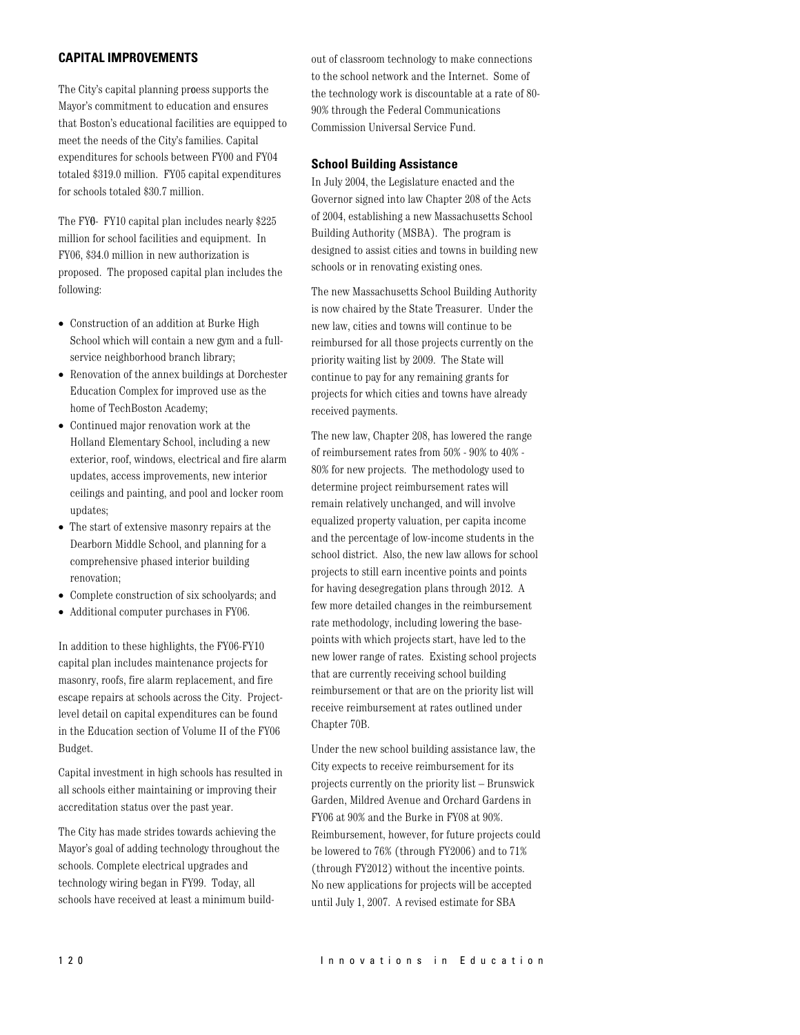# **CAPITAL IMPROVEMENTS**

The City's capital planning proess supports the Mayor's commitment to education and ensures that Boston's educational facilities are equipped to meet the needs of the City's families. Capital expenditures for schools between FY00 and FY04 totaled \$319.0 million. FY05 capital expenditures for schools totaled \$30.7 million.

The FY<sub>0</sub>-FY<sub>10</sub> capital plan includes nearly \$225 million for school facilities and equipment. In FY06, \$34.0 million in new authorization is proposed. The proposed capital plan includes the following:

- Construction of an addition at Burke High School which will contain a new gym and a fullservice neighborhood branch library;
- Renovation of the annex buildings at Dorchester Education Complex for improved use as the home of TechBoston Academy;
- Continued major renovation work at the Holland Elementary School, including a new exterior, roof, windows, electrical and fire alarm updates, access improvements, new interior ceilings and painting, and pool and locker room updates;
- The start of extensive masonry repairs at the Dearborn Middle School, and planning for a comprehensive phased interior building renovation;
- Complete construction of six schoolyards; and
- Additional computer purchases in FY06.

In addition to these highlights, the FY06-FY10 capital plan includes maintenance projects for masonry, roofs, fire alarm replacement, and fire escape repairs at schools across the City. Projectlevel detail on capital expenditures can be found in the Education section of Volume II of the FY06 Budget.

Capital investment in high schools has resulted in all schools either maintaining or improving their accreditation status over the past year.

The City has made strides towards achieving the Mayor's goal of adding technology throughout the schools. Complete electrical upgrades and technology wiring began in FY99. Today, all schools have received at least a minimum buildout of classroom technology to make connections to the school network and the Internet. Some of the technology work is discountable at a rate of 80-90% through the Federal Communications Commission Universal Service Fund.

## **School Building Assistance**

In July 2004, the Legislature enacted and the Governor signed into law Chapter 208 of the Acts of 2004, establishing a new Massachusetts School Building Authority (MSBA). The program is designed to assist cities and towns in building new schools or in renovating existing ones.

The new Massachusetts School Building Authority is now chaired by the State Treasurer. Under the new law, cities and towns will continue to be reimbursed for all those projects currently on the priority waiting list by 2009. The State will continue to pay for any remaining grants for projects for which cities and towns have already received payments.

The new law, Chapter 208, has lowered the range of reimbursement rates from 50% - 90% to 40% -80% for new projects. The methodology used to determine project reimbursement rates will remain relatively unchanged, and will involve equalized property valuation, per capita income and the percentage of low-income students in the school district. Also, the new law allows for school projects to still earn incentive points and points for having desegregation plans through 2012. A few more detailed changes in the reimbursement rate methodology, including lowering the basepoints with which projects start, have led to the new lower range of rates. Existing school projects that are currently receiving school building reimbursement or that are on the priority list will receive reimbursement at rates outlined under Chapter 70B.

Under the new school building assistance law, the City expects to receive reimbursement for its projects currently on the priority list – Brunswick Garden, Mildred Avenue and Orchard Gardens in FY06 at 90% and the Burke in FY08 at 90%. Reimbursement, however, for future projects could be lowered to 76% (through FY2006) and to 71% (through FY2012) without the incentive points. No new applications for projects will be accepted until July 1, 2007. A revised estimate for SBA